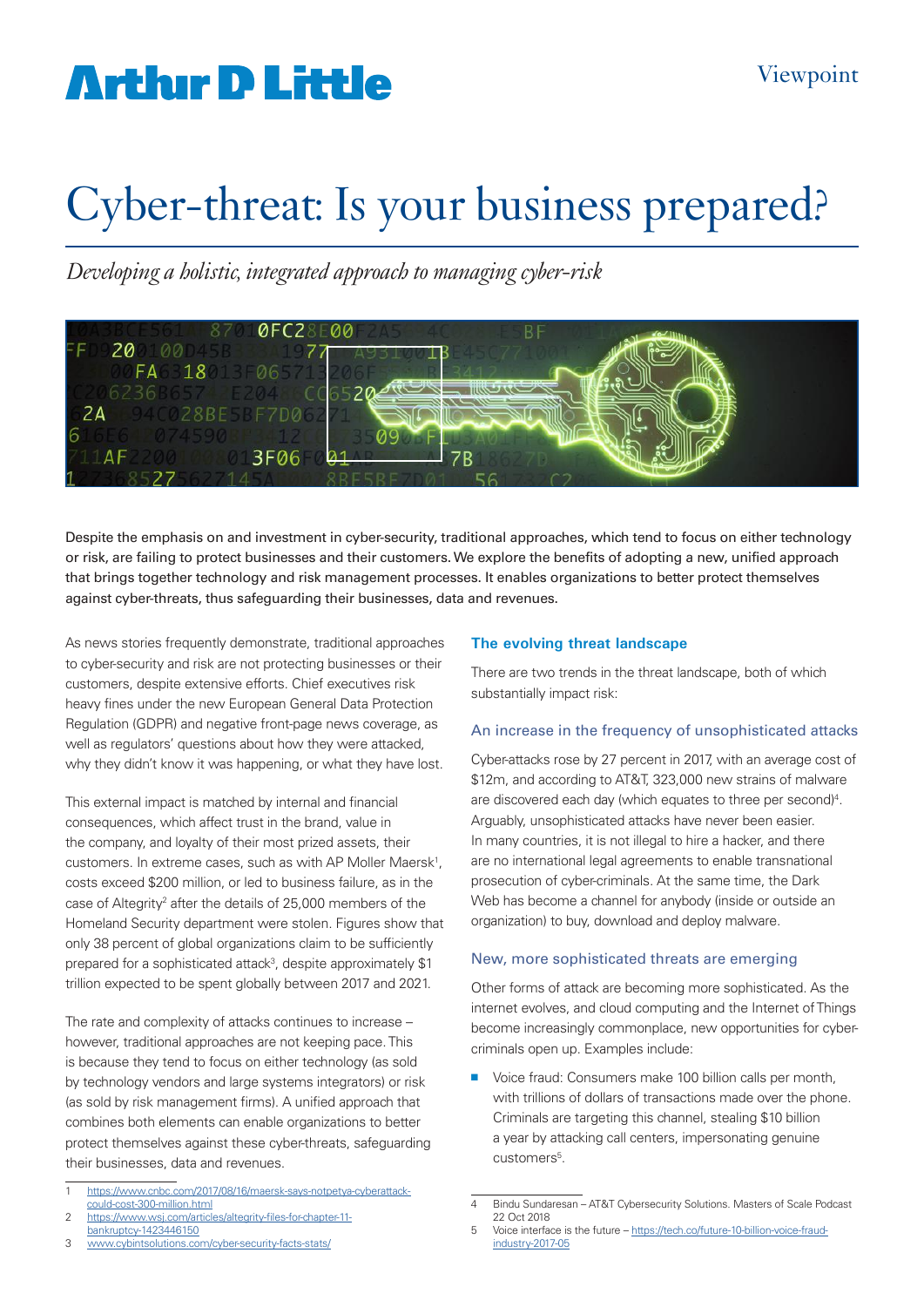# **Arthur D Little**

# Cyber-threat: Is your business prepared?

*Developing a holistic, integrated approach to managing cyber-risk* 



Despite the emphasis on and investment in cyber-security, traditional approaches, which tend to focus on either technology or risk, are failing to protect businesses and their customers. We explore the benefits of adopting a new, unified approach that brings together technology and risk management processes. It enables organizations to better protect themselves against cyber-threats, thus safeguarding their businesses, data and revenues.

As news stories frequently demonstrate, traditional approaches to cyber-security and risk are not protecting businesses or their customers, despite extensive efforts. Chief executives risk heavy fines under the new European General Data Protection Regulation (GDPR) and negative front-page news coverage, as well as regulators' questions about how they were attacked, why they didn't know it was happening, or what they have lost.

This external impact is matched by internal and financial consequences, which affect trust in the brand, value in the company, and loyalty of their most prized assets, their customers. In extreme cases, such as with AP Moller Maersk<sup>1</sup>, costs exceed \$200 million, or led to business failure, as in the case of Altegrity<sup>2</sup> after the details of 25,000 members of the Homeland Security department were stolen. Figures show that only 38 percent of global organizations claim to be sufficiently prepared for a sophisticated attack<sup>3</sup>, despite approximately \$1 trillion expected to be spent globally between 2017 and 2021.

The rate and complexity of attacks continues to increase – however, traditional approaches are not keeping pace. This is because they tend to focus on either technology (as sold by technology vendors and large systems integrators) or risk (as sold by risk management firms). A unified approach that combines both elements can enable organizations to better protect themselves against these cyber-threats, safeguarding their businesses, data and revenues.

https://www.wsj.com/articles/altegrity-files-for-chapter-11bankruptcy-1423446150

### 3 www.cybintsolutions.com/cyber-security-facts-stats/

## **The evolving threat landscape**

There are two trends in the threat landscape, both of which substantially impact risk:

### An increase in the frequency of unsophisticated attacks

Cyber-attacks rose by 27 percent in 2017, with an average cost of \$12m, and according to AT&T, 323,000 new strains of malware are discovered each day (which equates to three per second)<sup>4</sup>. Arguably, unsophisticated attacks have never been easier. In many countries, it is not illegal to hire a hacker, and there are no international legal agreements to enable transnational prosecution of cyber-criminals. At the same time, the Dark Web has become a channel for anybody (inside or outside an organization) to buy, download and deploy malware.

## New, more sophisticated threats are emerging

Other forms of attack are becoming more sophisticated. As the internet evolves, and cloud computing and the Internet of Things become increasingly commonplace, new opportunities for cybercriminals open up. Examples include:

■ Voice fraud: Consumers make 100 billion calls per month, with trillions of dollars of transactions made over the phone. Criminals are targeting this channel, stealing \$10 billion a year by attacking call centers, impersonating genuine customers<sup>5</sup>.

<sup>1</sup> https://www.cnbc.com/2017/08/16/maersk-says-notpetya-cyberattackcould-cost-300-million.html

<sup>4</sup> Bindu Sundaresan – AT&T Cybersecurity Solutions. Masters of Scale Podcast 22 Oct 2018

<sup>5</sup> Voice interface is the future – https://tech.co/future-10-billion-voice-fraudindustry-2017-05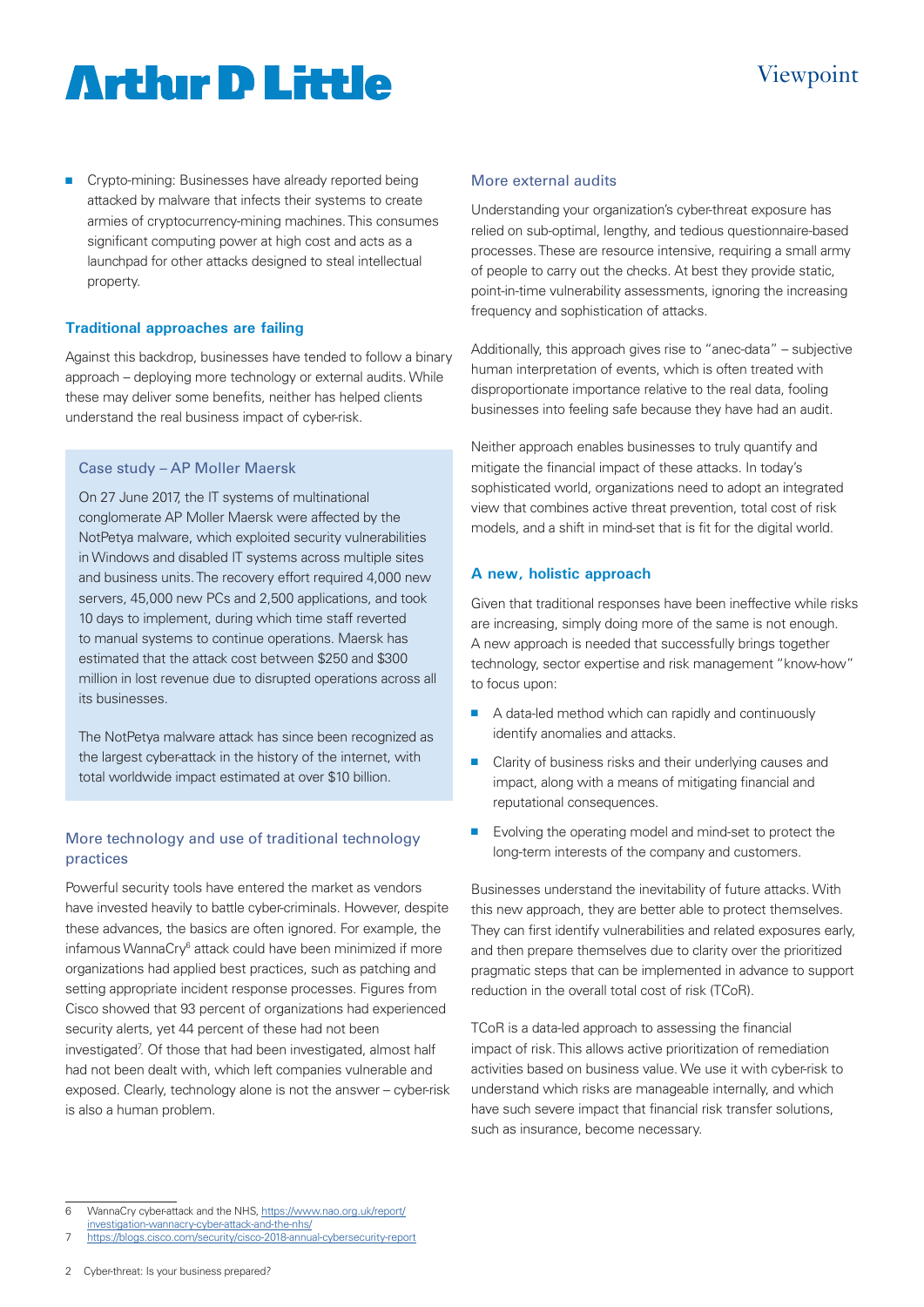# **Artlur D Little**

 $\blacksquare$  Crypto-mining: Businesses have already reported being attacked by malware that infects their systems to create armies of cryptocurrency-mining machines. This consumes significant computing power at high cost and acts as a launchpad for other attacks designed to steal intellectual property.

# **Traditional approaches are failing**

Against this backdrop, businesses have tended to follow a binary approach – deploying more technology or external audits. While these may deliver some benefits, neither has helped clients understand the real business impact of cyber-risk.

## Case study – AP Moller Maersk

On 27 June 2017, the IT systems of multinational conglomerate AP Moller Maersk were affected by the NotPetya malware, which exploited security vulnerabilities in Windows and disabled IT systems across multiple sites and business units. The recovery effort required 4,000 new servers, 45,000 new PCs and 2,500 applications, and took 10 days to implement, during which time staff reverted to manual systems to continue operations. Maersk has estimated that the attack cost between \$250 and \$300 million in lost revenue due to disrupted operations across all its businesses.

The NotPetya malware attack has since been recognized as the largest cyber-attack in the history of the internet, with total worldwide impact estimated at over \$10 billion.

# More technology and use of traditional technology practices

Powerful security tools have entered the market as vendors have invested heavily to battle cyber-criminals. However, despite these advances, the basics are often ignored. For example, the infamous WannaCry<sup>6</sup> attack could have been minimized if more organizations had applied best practices, such as patching and setting appropriate incident response processes. Figures from Cisco showed that 93 percent of organizations had experienced security alerts, yet 44 percent of these had not been investigated<sup>7</sup>. Of those that had been investigated, almost half had not been dealt with, which left companies vulnerable and exposed. Clearly, technology alone is not the answer – cyber-risk is also a human problem.

# More external audits

Understanding your organization's cyber-threat exposure has relied on sub-optimal, lengthy, and tedious questionnaire-based processes. These are resource intensive, requiring a small army of people to carry out the checks. At best they provide static, point-in-time vulnerability assessments, ignoring the increasing frequency and sophistication of attacks.

Additionally, this approach gives rise to "anec-data" – subjective human interpretation of events, which is often treated with disproportionate importance relative to the real data, fooling businesses into feeling safe because they have had an audit.

Neither approach enables businesses to truly quantify and mitigate the financial impact of these attacks. In today's sophisticated world, organizations need to adopt an integrated view that combines active threat prevention, total cost of risk models, and a shift in mind-set that is fit for the digital world.

# **A new, holistic approach**

Given that traditional responses have been ineffective while risks are increasing, simply doing more of the same is not enough. A new approach is needed that successfully brings together technology, sector expertise and risk management "know-how" to focus upon:

- $\blacksquare$  A data-led method which can rapidly and continuously identify anomalies and attacks.
- $\blacksquare$  Clarity of business risks and their underlying causes and impact, along with a means of mitigating financial and reputational consequences.
- $\blacksquare$  Evolving the operating model and mind-set to protect the long-term interests of the company and customers.

Businesses understand the inevitability of future attacks. With this new approach, they are better able to protect themselves. They can first identify vulnerabilities and related exposures early, and then prepare themselves due to clarity over the prioritized pragmatic steps that can be implemented in advance to support reduction in the overall total cost of risk (TCoR).

TCoR is a data-led approach to assessing the financial impact of risk. This allows active prioritization of remediation activities based on business value. We use it with cyber-risk to understand which risks are manageable internally, and which have such severe impact that financial risk transfer solutions, such as insurance, become necessary.

investigation-wannacry-cyber-attack-and-the-nhs/ https://blogs.cisco.com/security/cisco-2018-annual-cybersecurity-report

<sup>6</sup> WannaCry cyber-attack and the NHS, https://www.nao.org.uk/report/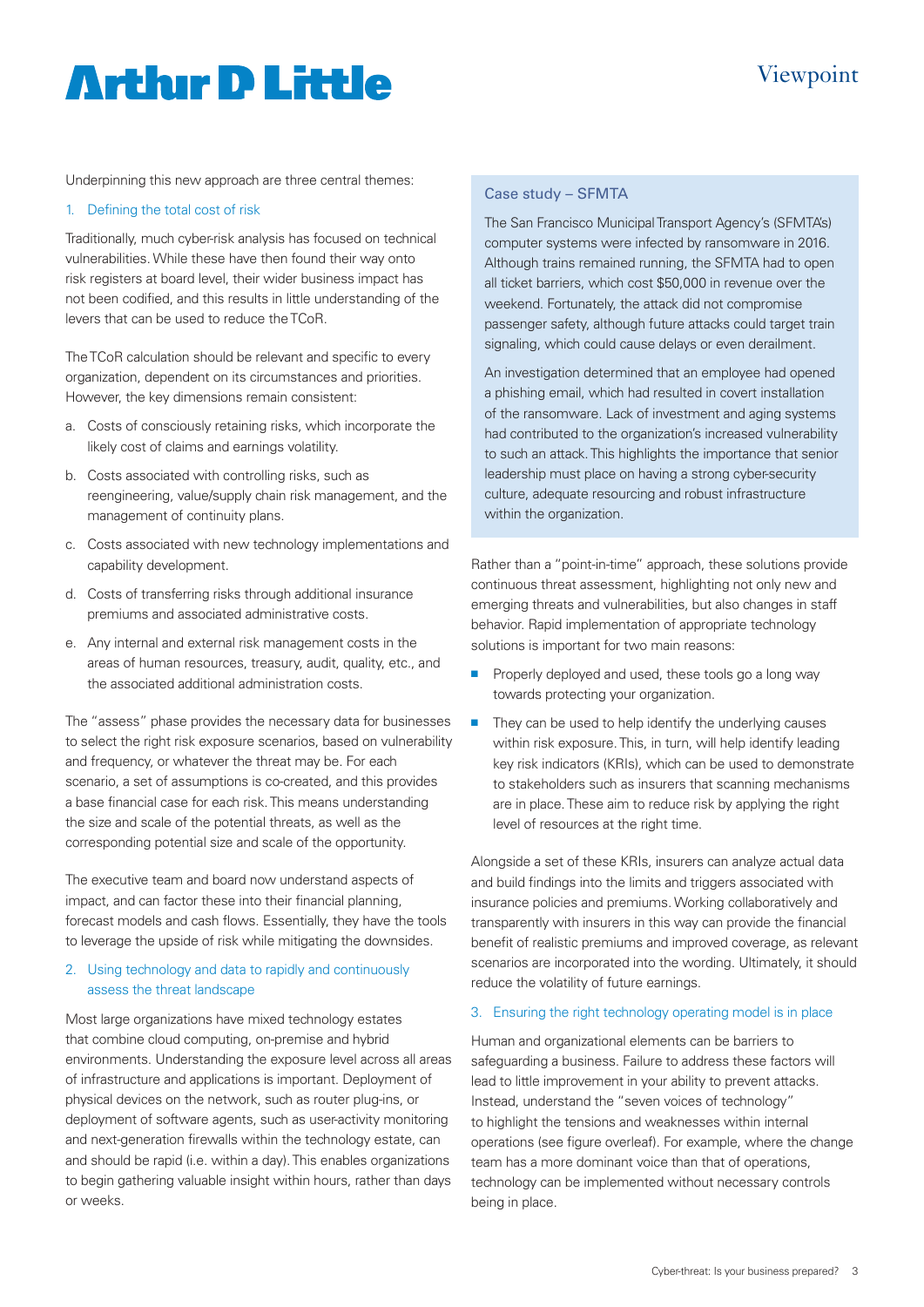# **Artlur D Little**

# Viewpoint

Underpinning this new approach are three central themes:

## 1. Defining the total cost of risk

Traditionally, much cyber-risk analysis has focused on technical vulnerabilities. While these have then found their way onto risk registers at board level, their wider business impact has not been codified, and this results in little understanding of the levers that can be used to reduce the TCoR.

The TCoR calculation should be relevant and specific to every organization, dependent on its circumstances and priorities. However, the key dimensions remain consistent:

- a. Costs of consciously retaining risks, which incorporate the likely cost of claims and earnings volatility.
- b. Costs associated with controlling risks, such as reengineering, value/supply chain risk management, and the management of continuity plans.
- c. Costs associated with new technology implementations and capability development.
- d. Costs of transferring risks through additional insurance premiums and associated administrative costs.
- e. Any internal and external risk management costs in the areas of human resources, treasury, audit, quality, etc., and the associated additional administration costs.

The "assess" phase provides the necessary data for businesses to select the right risk exposure scenarios, based on vulnerability and frequency, or whatever the threat may be. For each scenario, a set of assumptions is co-created, and this provides a base financial case for each risk. This means understanding the size and scale of the potential threats, as well as the corresponding potential size and scale of the opportunity.

The executive team and board now understand aspects of impact, and can factor these into their financial planning, forecast models and cash flows. Essentially, they have the tools to leverage the upside of risk while mitigating the downsides.

## 2. Using technology and data to rapidly and continuously assess the threat landscape

Most large organizations have mixed technology estates that combine cloud computing, on-premise and hybrid environments. Understanding the exposure level across all areas of infrastructure and applications is important. Deployment of physical devices on the network, such as router plug-ins, or deployment of software agents, such as user-activity monitoring and next-generation firewalls within the technology estate, can and should be rapid (i.e. within a day). This enables organizations to begin gathering valuable insight within hours, rather than days or weeks.

## Case study – SFMTA

The San Francisco Municipal Transport Agency's (SFMTA's) computer systems were infected by ransomware in 2016. Although trains remained running, the SFMTA had to open all ticket barriers, which cost \$50,000 in revenue over the weekend. Fortunately, the attack did not compromise passenger safety, although future attacks could target train signaling, which could cause delays or even derailment.

An investigation determined that an employee had opened a phishing email, which had resulted in covert installation of the ransomware. Lack of investment and aging systems had contributed to the organization's increased vulnerability to such an attack. This highlights the importance that senior leadership must place on having a strong cyber-security culture, adequate resourcing and robust infrastructure within the organization.

Rather than a "point-in-time" approach, these solutions provide continuous threat assessment, highlighting not only new and emerging threats and vulnerabilities, but also changes in staff behavior. Rapid implementation of appropriate technology solutions is important for two main reasons:

- $\blacksquare$  Properly deployed and used, these tools go a long way towards protecting your organization.
- $\blacksquare$  They can be used to help identify the underlying causes within risk exposure. This, in turn, will help identify leading key risk indicators (KRIs), which can be used to demonstrate to stakeholders such as insurers that scanning mechanisms are in place. These aim to reduce risk by applying the right level of resources at the right time.

Alongside a set of these KRIs, insurers can analyze actual data and build findings into the limits and triggers associated with insurance policies and premiums. Working collaboratively and transparently with insurers in this way can provide the financial benefit of realistic premiums and improved coverage, as relevant scenarios are incorporated into the wording. Ultimately, it should reduce the volatility of future earnings.

### 3. Ensuring the right technology operating model is in place

Human and organizational elements can be barriers to safeguarding a business. Failure to address these factors will lead to little improvement in your ability to prevent attacks. Instead, understand the "seven voices of technology" to highlight the tensions and weaknesses within internal operations (see figure overleaf). For example, where the change team has a more dominant voice than that of operations, technology can be implemented without necessary controls being in place.